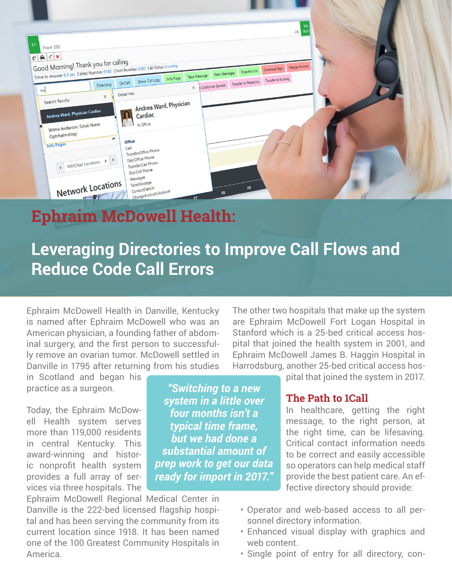

# **Ephraim McDowell Health:**

# **Leveraging Directories to Improve Call Flows and Reduce Code Call Errors**

Ephraim McDowell Health in Danville, Kentucky is named after Ephraim McDowell who was an American physician, a founding father of abdominal surgery, and the first person to successfully remove an ovarian tumor. McDowell settled in Danville in 1795 after returning from his studies

in Scotland and began his practice as a surgeon.

Today, the Ephraim McDowell Health system serves more than 119,000 residents in central Kentucky. This award-winning and historic nonprofit health system provides a full array of services via three hospitals. The

Ephraim McDowell Regional Medical Center in Danville is the 222-bed licensed flagship hospital and has been serving the community from its current location since 1918. It has been named one of the 100 Greatest Community Hospitals in America.

*"Switching to a new system in a little over four months isn't a typical time frame, but we had done a substantial amount of prep work to get our data ready for import in 2017."*

The other two hospitals that make up the system are Ephraim McDowell Fort Logan Hospital in Stanford which is a 25-bed critical access hospital that joined the health system in 2001, and Ephraim McDowell James B. Haggin Hospital in Harrodsburg, another 25-bed critical access hos-

pital that joined the system in 2017.

# **The Path to 1Call**

In healthcare, getting the right message, to the right person, at the right time, can be lifesaving. Critical contact information needs to be correct and easily accessible so operators can help medical staff provide the best patient care. An effective directory should provide:

- Operator and web-based access to all personnel directory information.
- Enhanced visual display with graphics and web content.
- Single point of entry for all directory, con-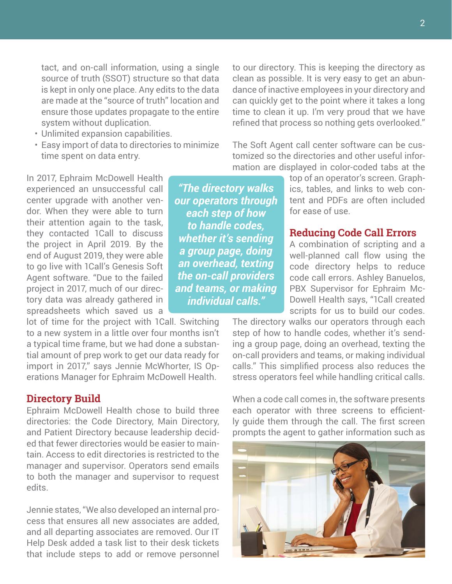tact, and on-call information, using a single source of truth (SSOT) structure so that data is kept in only one place. Any edits to the data are made at the "source of truth" location and ensure those updates propagate to the entire system without duplication.

- Unlimited expansion capabilities.
- Easy import of data to directories to minimize time spent on data entry.

In 2017, Ephraim McDowell Health experienced an unsuccessful call center upgrade with another vendor. When they were able to turn their attention again to the task, they contacted 1Call to discuss the project in April 2019. By the end of August 2019, they were able to go live with 1Call's Genesis Soft Agent software. "Due to the failed project in 2017, much of our directory data was already gathered in spreadsheets which saved us a

lot of time for the project with 1Call. Switching to a new system in a little over four months isn't a typical time frame, but we had done a substantial amount of prep work to get our data ready for import in 2017," says Jennie McWhorter, IS Operations Manager for Ephraim McDowell Health.

### **Directory Build**

Ephraim McDowell Health chose to build three directories: the Code Directory, Main Directory, and Patient Directory because leadership decided that fewer directories would be easier to maintain. Access to edit directories is restricted to the manager and supervisor. Operators send emails to both the manager and supervisor to request edits.

Jennie states, "We also developed an internal process that ensures all new associates are added, and all departing associates are removed. Our IT Help Desk added a task list to their desk tickets that include steps to add or remove personnel

to our directory. This is keeping the directory as clean as possible. It is very easy to get an abundance of inactive employees in your directory and can quickly get to the point where it takes a long time to clean it up. I'm very proud that we have refined that process so nothing gets overlooked."

The Soft Agent call center software can be customized so the directories and other useful information are displayed in color-coded tabs at the

*"The directory walks our operators through each step of how to handle codes, whether it's sending a group page, doing an overhead, texting the on-call providers and teams, or making individual calls."*

top of an operator's screen. Graphics, tables, and links to web content and PDFs are often included for ease of use.

## **Reducing Code Call Errors**

A combination of scripting and a well-planned call flow using the code directory helps to reduce code call errors. Ashley Banuelos, PBX Supervisor for Ephraim Mc-Dowell Health says, "1Call created scripts for us to build our codes.

The directory walks our operators through each step of how to handle codes, whether it's sending a group page, doing an overhead, texting the on-call providers and teams, or making individual calls." This simplified process also reduces the stress operators feel while handling critical calls.

When a code call comes in, the software presents each operator with three screens to efficiently guide them through the call. The first screen prompts the agent to gather information such as

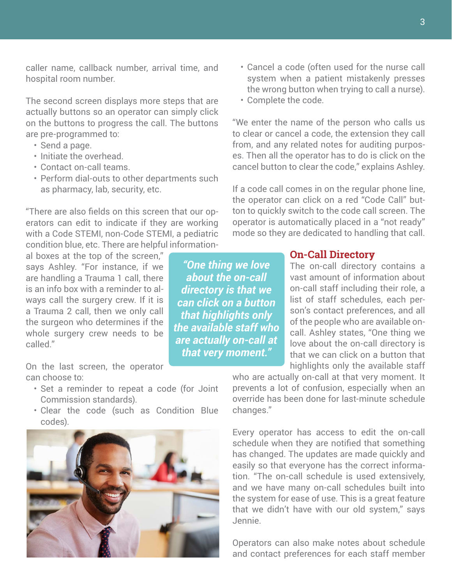caller name, callback number, arrival time, and hospital room number.

The second screen displays more steps that are actually buttons so an operator can simply click on the buttons to progress the call. The buttons are pre-programmed to:

- Send a page.
- Initiate the overhead.
- Contact on-call teams.
- Perform dial-outs to other departments such as pharmacy, lab, security, etc.

"There are also fields on this screen that our operators can edit to indicate if they are working with a Code STEMI, non-Code STEMI, a pediatric condition blue, etc. There are helpful information-

al boxes at the top of the screen," says Ashley. "For instance, if we are handling a Trauma 1 call, there is an info box with a reminder to always call the surgery crew. If it is a Trauma 2 call, then we only call the surgeon who determines if the whole surgery crew needs to be called."

On the last screen, the operator can choose to:

- Set a reminder to repeat a code (for Joint Commission standards).
- Clear the code (such as Condition Blue codes).



*"One thing we love about the on-call directory is that we can click on a button that highlights only the available staff who are actually on-call at that very moment."*

- Cancel a code (often used for the nurse call system when a patient mistakenly presses the wrong button when trying to call a nurse).
- Complete the code.

"We enter the name of the person who calls us to clear or cancel a code, the extension they call from, and any related notes for auditing purposes. Then all the operator has to do is click on the cancel button to clear the code," explains Ashley.

If a code call comes in on the regular phone line, the operator can click on a red "Code Call" button to quickly switch to the code call screen. The operator is automatically placed in a "not ready" mode so they are dedicated to handling that call.

## **On-Call Directory**

The on-call directory contains a vast amount of information about on-call staff including their role, a list of staff schedules, each person's contact preferences, and all of the people who are available oncall. Ashley states, "One thing we love about the on-call directory is that we can click on a button that highlights only the available staff

who are actually on-call at that very moment. It prevents a lot of confusion, especially when an override has been done for last-minute schedule changes."

Every operator has access to edit the on-call schedule when they are notified that something has changed. The updates are made quickly and easily so that everyone has the correct information. "The on-call schedule is used extensively, and we have many on-call schedules built into the system for ease of use. This is a great feature that we didn't have with our old system," says Jennie.

Operators can also make notes about schedule and contact preferences for each staff member

3